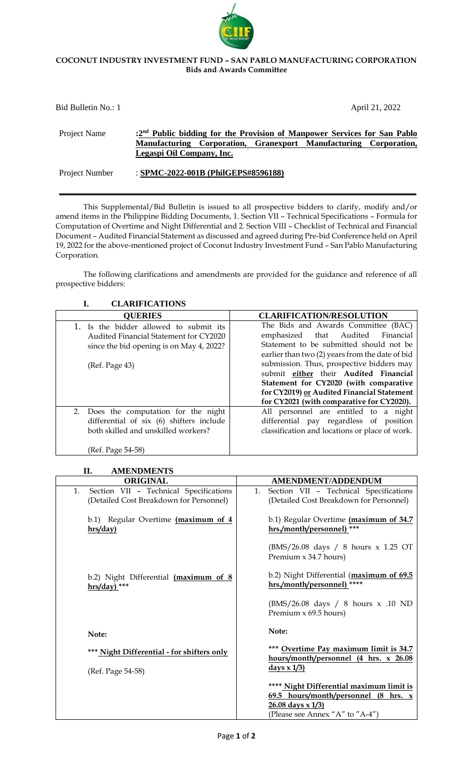## **COCONUT INDUSTRY INVESTMENT FUND – SAN PABLO MANUFACTURING CORPORATION Bids and Awards Committee**

| Bid Bulletin No.: 1 |                                     |  |                                                                                                                                                          | April 21, 2022 |
|---------------------|-------------------------------------|--|----------------------------------------------------------------------------------------------------------------------------------------------------------|----------------|
| Project Name        | Legaspi Oil Company, Inc.           |  | :2 <sup>nd</sup> Public bidding for the Provision of Manpower Services for San Pablo<br>Manufacturing Corporation, Granexport Manufacturing Corporation, |                |
| Project Number      | : SPMC-2022-001B (PhilGEPS#8596188) |  |                                                                                                                                                          |                |

This Supplemental/Bid Bulletin is issued to all prospective bidders to clarify, modify and/or amend items in the Philippine Bidding Documents, 1. Section VII – Technical Specifications – Formula for Computation of Overtime and Night Differential and 2. Section VIII – Checklist of Technical and Financial Document – Audited Financial Statement as discussed and agreed during Pre-bid Conference held on April 19, 2022 for the above-mentioned project of Coconut Industry Investment Fund – San Pablo Manufacturing Corporation.

The following clarifications and amendments are provided for the guidance and reference of all prospective bidders:

| <b>CLARIFICATIONS</b>                                                                                                                            |                                                                                                                                                                                                                                                                                                                                                                                                            |
|--------------------------------------------------------------------------------------------------------------------------------------------------|------------------------------------------------------------------------------------------------------------------------------------------------------------------------------------------------------------------------------------------------------------------------------------------------------------------------------------------------------------------------------------------------------------|
| <b>QUERIES</b>                                                                                                                                   | <b>CLARIFICATION/RESOLUTION</b>                                                                                                                                                                                                                                                                                                                                                                            |
| 1. Is the bidder allowed to submit its<br>Audited Financial Statement for CY2020<br>since the bid opening is on May 4, 2022?<br>(Ref. Page 43)   | The Bids and Awards Committee (BAC)<br>that<br>Audited<br>emphasized<br>Financial<br>Statement to be submitted should not be<br>earlier than two (2) years from the date of bid<br>submission. Thus, prospective bidders may<br>submit either their Audited Financial<br>Statement for CY2020 (with comparative<br>for CY2019) or Audited Financial Statement<br>for CY2021 (with comparative for CY2020). |
| 2.<br>Does the computation for the night<br>differential of six (6) shifters include<br>both skilled and unskilled workers?<br>(Ref. Page 54-58) | All personnel are entitled to a night<br>differential pay regardless of position<br>classification and locations or place of work.                                                                                                                                                                                                                                                                         |

| <b>AMENDMENTS</b><br>П.                      |                                                  |
|----------------------------------------------|--------------------------------------------------|
| <b>ORIGINAL</b>                              | <b>AMENDMENT/ADDENDUM</b>                        |
| Section VII - Technical Specifications<br>1. | Section VII - Technical Specifications<br>1.     |
| (Detailed Cost Breakdown for Personnel)      | (Detailed Cost Breakdown for Personnel)          |
| b.1) Regular Overtime (maximum of 4          | b.1) Regular Overtime (maximum of 34.7           |
| hrs/day)                                     | hrs./month/personnel) ***                        |
|                                              | (BMS/26.08 days / 8 hours x 1.25 OT              |
|                                              | Premium x 34.7 hours)                            |
| b.2) Night Differential (maximum of 8        | b.2) Night Differential (maximum of 69.5         |
| $hrs/day)$ <sup>***</sup>                    | hrs./month/personnel) ****                       |
|                                              | (BMS/26.08 days / 8 hours x .10 ND               |
|                                              | Premium $x$ 69.5 hours)                          |
| Note:                                        | Note:                                            |
|                                              | *** Overtime Pay maximum limit is 34.7           |
| *** Night Differential - for shifters only   | hours/month/personnel (4 hrs. x 26.08            |
| (Ref. Page 54-58)                            | $\frac{days \times 1/3}{}$                       |
|                                              | **** Night Differential maximum limit is         |
|                                              | 69.5 hours/month/personnel $(8 \text{ hrs. } x)$ |
|                                              | $26.08$ days x $1/3$                             |
|                                              | (Please see Annex "A" to "A-4")                  |